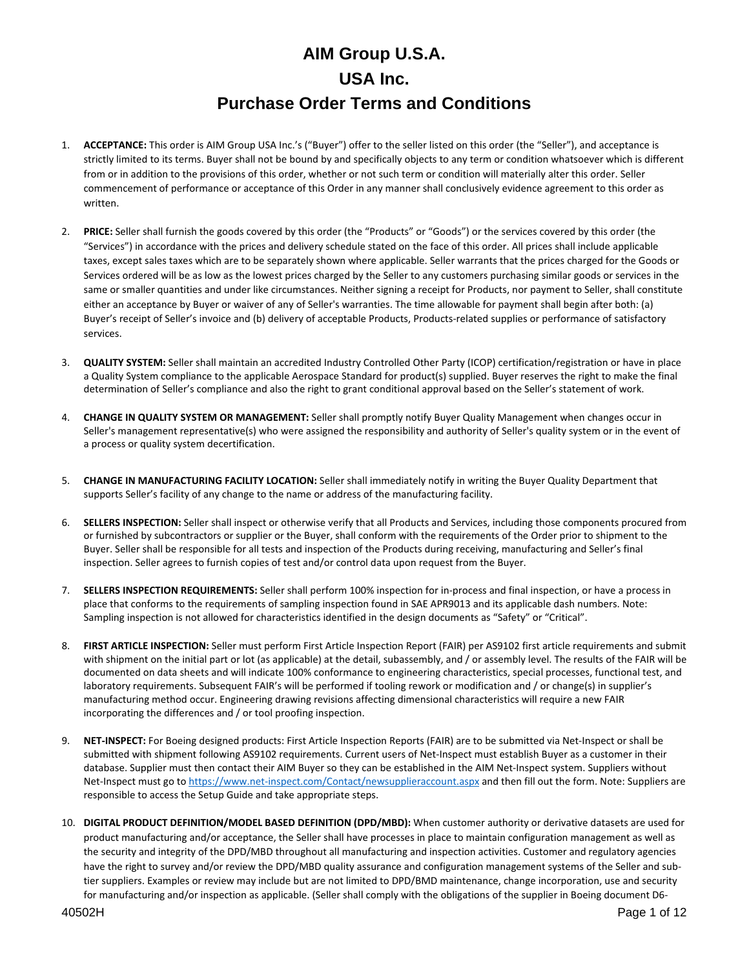- 1. **ACCEPTANCE:** This order is AIM Group USA Inc.'s ("Buyer") offer to the seller listed on this order (the "Seller"), and acceptance is strictly limited to its terms. Buyer shall not be bound by and specifically objects to any term or condition whatsoever which is different from or in addition to the provisions of this order, whether or not such term or condition will materially alter this order. Seller commencement of performance or acceptance of this Order in any manner shall conclusively evidence agreement to this order as written.
- 2. **PRICE:** Seller shall furnish the goods covered by this order (the "Products" or "Goods") or the services covered by this order (the "Services") in accordance with the prices and delivery schedule stated on the face of this order. All prices shall include applicable taxes, except sales taxes which are to be separately shown where applicable. Seller warrants that the prices charged for the Goods or Services ordered will be as low as the lowest prices charged by the Seller to any customers purchasing similar goods or services in the same or smaller quantities and under like circumstances. Neither signing a receipt for Products, nor payment to Seller, shall constitute either an acceptance by Buyer or waiver of any of Seller's warranties. The time allowable for payment shall begin after both: (a) Buyer's receipt of Seller's invoice and (b) delivery of acceptable Products, Products-related supplies or performance of satisfactory services.
- 3. **QUALITY SYSTEM:** Seller shall maintain an accredited Industry Controlled Other Party (ICOP) certification/registration or have in place a Quality System compliance to the applicable Aerospace Standard for product(s) supplied. Buyer reserves the right to make the final determination of Seller's compliance and also the right to grant conditional approval based on the Seller's statement of work.
- 4. **CHANGE IN QUALITY SYSTEM OR MANAGEMENT:** Seller shall promptly notify Buyer Quality Management when changes occur in Seller's management representative(s) who were assigned the responsibility and authority of Seller's quality system or in the event of a process or quality system decertification.
- 5. **CHANGE IN MANUFACTURING FACILITY LOCATION:** Seller shall immediately notify in writing the Buyer Quality Department that supports Seller's facility of any change to the name or address of the manufacturing facility.
- 6. **SELLERS INSPECTION:** Seller shall inspect or otherwise verify that all Products and Services, including those components procured from or furnished by subcontractors or supplier or the Buyer, shall conform with the requirements of the Order prior to shipment to the Buyer. Seller shall be responsible for all tests and inspection of the Products during receiving, manufacturing and Seller's final inspection. Seller agrees to furnish copies of test and/or control data upon request from the Buyer.
- 7. **SELLERS INSPECTION REQUIREMENTS:** Seller shall perform 100% inspection for in-process and final inspection, or have a process in place that conforms to the requirements of sampling inspection found in SAE APR9013 and its applicable dash numbers. Note: Sampling inspection is not allowed for characteristics identified in the design documents as "Safety" or "Critical".
- 8. **FIRST ARTICLE INSPECTION:** Seller must perform First Article Inspection Report (FAIR) per AS9102 first article requirements and submit with shipment on the initial part or lot (as applicable) at the detail, subassembly, and / or assembly level. The results of the FAIR will be documented on data sheets and will indicate 100% conformance to engineering characteristics, special processes, functional test, and laboratory requirements. Subsequent FAIR's will be performed if tooling rework or modification and / or change(s) in supplier's manufacturing method occur. Engineering drawing revisions affecting dimensional characteristics will require a new FAIR incorporating the differences and / or tool proofing inspection.
- 9. **NET-INSPECT:** For Boeing designed products: First Article Inspection Reports (FAIR) are to be submitted via Net-Inspect or shall be submitted with shipment following AS9102 requirements. Current users of Net-Inspect must establish Buyer as a customer in their database. Supplier must then contact their AIM Buyer so they can be established in the AIM Net-Inspect system. Suppliers without Net-Inspect must go t[o https://www.net-inspect.com/Contact/newsupplieraccount.aspx](https://www.net-inspect.com/Contact/newsupplieraccount.aspx) and then fill out the form. Note: Suppliers are responsible to access the Setup Guide and take appropriate steps.
- 10. **DIGITAL PRODUCT DEFINITION/MODEL BASED DEFINITION (DPD/MBD):** When customer authority or derivative datasets are used for product manufacturing and/or acceptance, the Seller shall have processes in place to maintain configuration management as well as the security and integrity of the DPD/MBD throughout all manufacturing and inspection activities. Customer and regulatory agencies have the right to survey and/or review the DPD/MBD quality assurance and configuration management systems of the Seller and subtier suppliers. Examples or review may include but are not limited to DPD/BMD maintenance, change incorporation, use and security for manufacturing and/or inspection as applicable. (Seller shall comply with the obligations of the supplier in Boeing document D6-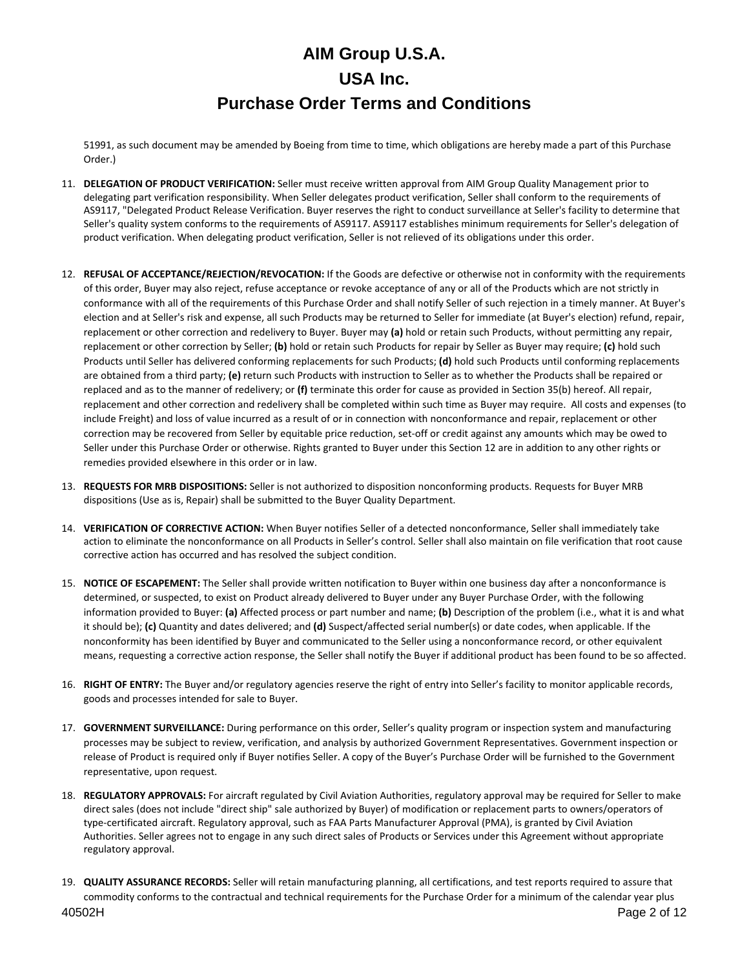51991, as such document may be amended by Boeing from time to time, which obligations are hereby made a part of this Purchase Order.)

- 11. **DELEGATION OF PRODUCT VERIFICATION:** Seller must receive written approval from AIM Group Quality Management prior to delegating part verification responsibility. When Seller delegates product verification, Seller shall conform to the requirements of AS9117, "Delegated Product Release Verification. Buyer reserves the right to conduct surveillance at Seller's facility to determine that Seller's quality system conforms to the requirements of AS9117. AS9117 establishes minimum requirements for Seller's delegation of product verification. When delegating product verification, Seller is not relieved of its obligations under this order.
- 12. **REFUSAL OF ACCEPTANCE/REJECTION/REVOCATION:** If the Goods are defective or otherwise not in conformity with the requirements of this order, Buyer may also reject, refuse acceptance or revoke acceptance of any or all of the Products which are not strictly in conformance with all of the requirements of this Purchase Order and shall notify Seller of such rejection in a timely manner. At Buyer's election and at Seller's risk and expense, all such Products may be returned to Seller for immediate (at Buyer's election) refund, repair, replacement or other correction and redelivery to Buyer. Buyer may **(a)** hold or retain such Products, without permitting any repair, replacement or other correction by Seller; **(b)** hold or retain such Products for repair by Seller as Buyer may require; **(c)** hold such Products until Seller has delivered conforming replacements for such Products; **(d)** hold such Products until conforming replacements are obtained from a third party; **(e)** return such Products with instruction to Seller as to whether the Products shall be repaired or replaced and as to the manner of redelivery; or **(f)** terminate this order for cause as provided in Section 35(b) hereof. All repair, replacement and other correction and redelivery shall be completed within such time as Buyer may require. All costs and expenses (to include Freight) and loss of value incurred as a result of or in connection with nonconformance and repair, replacement or other correction may be recovered from Seller by equitable price reduction, set-off or credit against any amounts which may be owed to Seller under this Purchase Order or otherwise. Rights granted to Buyer under this Section 12 are in addition to any other rights or remedies provided elsewhere in this order or in law.
- 13. **REQUESTS FOR MRB DISPOSITIONS:** Seller is not authorized to disposition nonconforming products. Requests for Buyer MRB dispositions (Use as is, Repair) shall be submitted to the Buyer Quality Department.
- 14. **VERIFICATION OF CORRECTIVE ACTION:** When Buyer notifies Seller of a detected nonconformance, Seller shall immediately take action to eliminate the nonconformance on all Products in Seller's control. Seller shall also maintain on file verification that root cause corrective action has occurred and has resolved the subject condition.
- 15. **NOTICE OF ESCAPEMENT:** The Seller shall provide written notification to Buyer within one business day after a nonconformance is determined, or suspected, to exist on Product already delivered to Buyer under any Buyer Purchase Order, with the following information provided to Buyer: **(a)** Affected process or part number and name; **(b)** Description of the problem (i.e., what it is and what it should be); **(c)** Quantity and dates delivered; and **(d)** Suspect/affected serial number(s) or date codes, when applicable. If the nonconformity has been identified by Buyer and communicated to the Seller using a nonconformance record, or other equivalent means, requesting a corrective action response, the Seller shall notify the Buyer if additional product has been found to be so affected.
- 16. **RIGHT OF ENTRY:** The Buyer and/or regulatory agencies reserve the right of entry into Seller's facility to monitor applicable records, goods and processes intended for sale to Buyer.
- 17. **GOVERNMENT SURVEILLANCE:** During performance on this order, Seller's quality program or inspection system and manufacturing processes may be subject to review, verification, and analysis by authorized Government Representatives. Government inspection or release of Product is required only if Buyer notifies Seller. A copy of the Buyer's Purchase Order will be furnished to the Government representative, upon request.
- 18. **REGULATORY APPROVALS:** For aircraft regulated by Civil Aviation Authorities, regulatory approval may be required for Seller to make direct sales (does not include "direct ship" sale authorized by Buyer) of modification or replacement parts to owners/operators of type-certificated aircraft. Regulatory approval, such as FAA Parts Manufacturer Approval (PMA), is granted by Civil Aviation Authorities. Seller agrees not to engage in any such direct sales of Products or Services under this Agreement without appropriate regulatory approval.
- 19. **QUALITY ASSURANCE RECORDS:** Seller will retain manufacturing planning, all certifications, and test reports required to assure that commodity conforms to the contractual and technical requirements for the Purchase Order for a minimum of the calendar year plus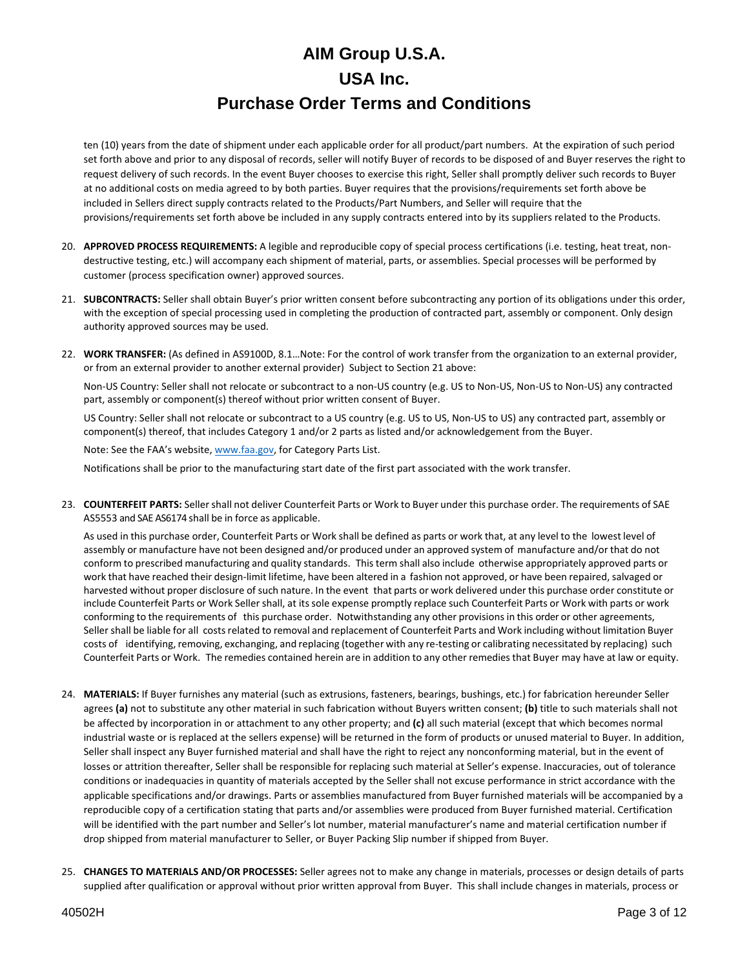ten (10) years from the date of shipment under each applicable order for all product/part numbers. At the expiration of such period set forth above and prior to any disposal of records, seller will notify Buyer of records to be disposed of and Buyer reserves the right to request delivery of such records. In the event Buyer chooses to exercise this right, Seller shall promptly deliver such records to Buyer at no additional costs on media agreed to by both parties. Buyer requires that the provisions/requirements set forth above be included in Sellers direct supply contracts related to the Products/Part Numbers, and Seller will require that the provisions/requirements set forth above be included in any supply contracts entered into by its suppliers related to the Products.

- 20. **APPROVED PROCESS REQUIREMENTS:** A legible and reproducible copy of special process certifications (i.e. testing, heat treat, nondestructive testing, etc.) will accompany each shipment of material, parts, or assemblies. Special processes will be performed by customer (process specification owner) approved sources.
- 21. **SUBCONTRACTS:** Seller shall obtain Buyer's prior written consent before subcontracting any portion of its obligations under this order, with the exception of special processing used in completing the production of contracted part, assembly or component. Only design authority approved sources may be used.
- 22. **WORK TRANSFER:** (As defined in AS9100D, 8.1…Note: For the control of work transfer from the organization to an external provider, or from an external provider to another external provider) Subject to Section 21 above:

Non-US Country: Seller shall not relocate or subcontract to a non-US country (e.g. US to Non-US, Non-US to Non-US) any contracted part, assembly or component(s) thereof without prior written consent of Buyer.

US Country: Seller shall not relocate or subcontract to a US country (e.g. US to US, Non-US to US) any contracted part, assembly or component(s) thereof, that includes Category 1 and/or 2 parts as listed and/or acknowledgement from the Buyer.

Note: See the FAA's website[, www.faa.gov,](http://www.faa.gov/) for Category Parts List.

Notifications shall be prior to the manufacturing start date of the first part associated with the work transfer.

23. **COUNTERFEIT PARTS:** Seller shall not deliver Counterfeit Parts or Work to Buyer under this purchase order. The requirements of SAE AS5553 and SAE AS6174 shall be in force as applicable.

As used in this purchase order, Counterfeit Parts or Work shall be defined as parts or work that, at any level to the lowest level of assembly or manufacture have not been designed and/or produced under an approved system of manufacture and/or that do not conform to prescribed manufacturing and quality standards. Thisterm shall also include otherwise appropriately approved parts or work that have reached their design-limit lifetime, have been altered in a fashion not approved, or have been repaired, salvaged or harvested without proper disclosure of such nature. In the event that parts or work delivered under this purchase order constitute or include Counterfeit Parts or Work Seller shall, at itssole expense promptly replace such Counterfeit Parts or Work with parts or work conforming to the requirements of this purchase order. Notwithstanding any other provisions in this order or other agreements, Seller shall be liable for all costsrelated to removal and replacement of Counterfeit Parts and Work including without limitation Buyer costs of identifying, removing, exchanging, and replacing (together with any re-testing or calibrating necessitated by replacing) such Counterfeit Parts or Work. The remedies contained herein are in addition to any other remedies that Buyer may have at law or equity.

- 24. **MATERIALS:** If Buyer furnishes any material (such as extrusions, fasteners, bearings, bushings, etc.) for fabrication hereunder Seller agrees **(a)** not to substitute any other material in such fabrication without Buyers written consent; **(b)** title to such materials shall not be affected by incorporation in or attachment to any other property; and **(c)** all such material (except that which becomes normal industrial waste or is replaced at the sellers expense) will be returned in the form of products or unused material to Buyer. In addition, Seller shall inspect any Buyer furnished material and shall have the right to reject any nonconforming material, but in the event of losses or attrition thereafter, Seller shall be responsible for replacing such material at Seller's expense. Inaccuracies, out of tolerance conditions or inadequacies in quantity of materials accepted by the Seller shall not excuse performance in strict accordance with the applicable specifications and/or drawings. Parts or assemblies manufactured from Buyer furnished materials will be accompanied by a reproducible copy of a certification stating that parts and/or assemblies were produced from Buyer furnished material. Certification will be identified with the part number and Seller's lot number, material manufacturer's name and material certification number if drop shipped from material manufacturer to Seller, or Buyer Packing Slip number if shipped from Buyer.
- 25. **CHANGES TO MATERIALS AND/OR PROCESSES:** Seller agrees not to make any change in materials, processes or design details of parts supplied after qualification or approval without prior written approval from Buyer. This shall include changes in materials, process or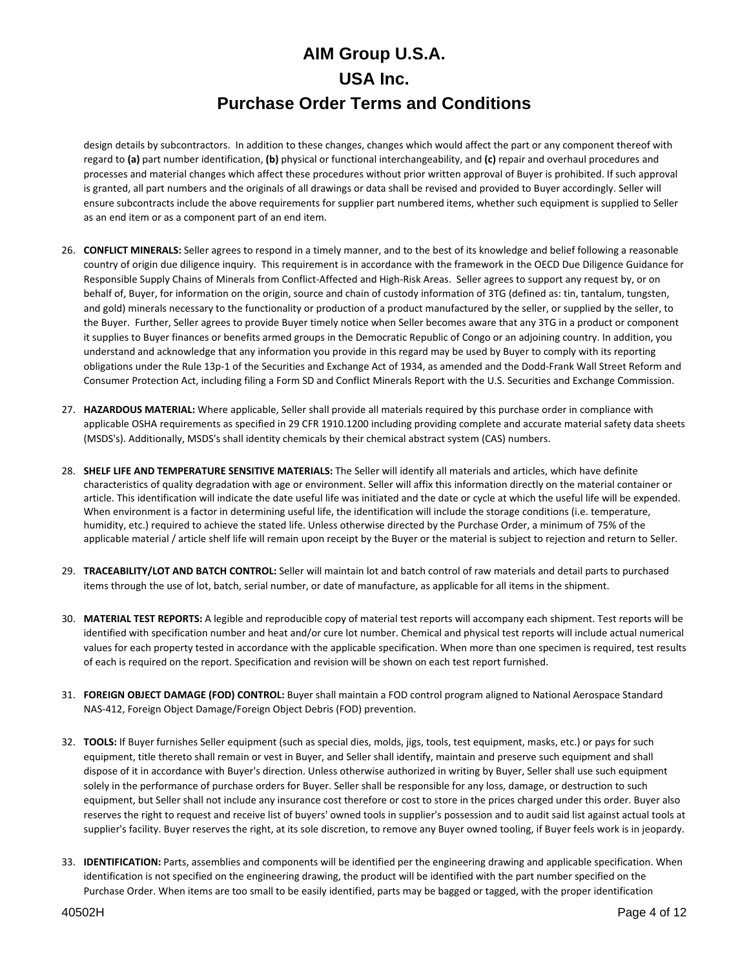design details by subcontractors. In addition to these changes, changes which would affect the part or any component thereof with regard to **(a)** part number identification, **(b)** physical or functional interchangeability, and **(c)** repair and overhaul procedures and processes and material changes which affect these procedures without prior written approval of Buyer is prohibited. If such approval is granted, all part numbers and the originals of all drawings or data shall be revised and provided to Buyer accordingly. Seller will ensure subcontracts include the above requirements for supplier part numbered items, whether such equipment is supplied to Seller as an end item or as a component part of an end item.

- 26. **CONFLICT MINERALS:** Seller agrees to respond in a timely manner, and to the best of its knowledge and belief following a reasonable country of origin due diligence inquiry. This requirement is in accordance with the framework in the OECD Due Diligence Guidance for Responsible Supply Chains of Minerals from Conflict-Affected and High-Risk Areas. Seller agrees to support any request by, or on behalf of, Buyer, for information on the origin, source and chain of custody information of 3TG (defined as: tin, tantalum, tungsten, and gold) minerals necessary to the functionality or production of a product manufactured by the seller, or supplied by the seller, to the Buyer. Further, Seller agrees to provide Buyer timely notice when Seller becomes aware that any 3TG in a product or component it supplies to Buyer finances or benefits armed groups in the Democratic Republic of Congo or an adjoining country. In addition, you understand and acknowledge that any information you provide in this regard may be used by Buyer to comply with its reporting obligations under the Rule 13p-1 of the Securities and Exchange Act of 1934, as amended and the Dodd-Frank Wall Street Reform and Consumer Protection Act, including filing a Form SD and Conflict Minerals Report with the U.S. Securities and Exchange Commission.
- 27. **HAZARDOUS MATERIAL:** Where applicable, Seller shall provide all materials required by this purchase order in compliance with applicable OSHA requirements as specified in 29 CFR 1910.1200 including providing complete and accurate material safety data sheets (MSDS's). Additionally, MSDS's shall identity chemicals by their chemical abstract system (CAS) numbers.
- 28. **SHELF LIFE AND TEMPERATURE SENSITIVE MATERIALS:** The Seller will identify all materials and articles, which have definite characteristics of quality degradation with age or environment. Seller will affix this information directly on the material container or article. This identification will indicate the date useful life was initiated and the date or cycle at which the useful life will be expended. When environment is a factor in determining useful life, the identification will include the storage conditions (i.e. temperature, humidity, etc.) required to achieve the stated life. Unless otherwise directed by the Purchase Order, a minimum of 75% of the applicable material / article shelf life will remain upon receipt by the Buyer or the material is subject to rejection and return to Seller.
- 29. **TRACEABILITY/LOT AND BATCH CONTROL:** Seller will maintain lot and batch control of raw materials and detail parts to purchased items through the use of lot, batch, serial number, or date of manufacture, as applicable for all items in the shipment.
- 30. **MATERIAL TEST REPORTS:** A legible and reproducible copy of material test reports will accompany each shipment. Test reports will be identified with specification number and heat and/or cure lot number. Chemical and physical test reports will include actual numerical values for each property tested in accordance with the applicable specification. When more than one specimen is required, test results of each is required on the report. Specification and revision will be shown on each test report furnished.
- 31. **FOREIGN OBJECT DAMAGE (FOD) CONTROL:** Buyer shall maintain a FOD control program aligned to National Aerospace Standard NAS-412, Foreign Object Damage/Foreign Object Debris (FOD) prevention.
- 32. **TOOLS:** If Buyer furnishes Seller equipment (such as special dies, molds, jigs, tools, test equipment, masks, etc.) or pays for such equipment, title thereto shall remain or vest in Buyer, and Seller shall identify, maintain and preserve such equipment and shall dispose of it in accordance with Buyer's direction. Unless otherwise authorized in writing by Buyer, Seller shall use such equipment solely in the performance of purchase orders for Buyer. Seller shall be responsible for any loss, damage, or destruction to such equipment, but Seller shall not include any insurance cost therefore or cost to store in the prices charged under this order. Buyer also reserves the right to request and receive list of buyers' owned tools in supplier's possession and to audit said list against actual tools at supplier's facility. Buyer reserves the right, at its sole discretion, to remove any Buyer owned tooling, if Buyer feels work is in jeopardy.
- 33. **IDENTIFICATION:** Parts, assemblies and components will be identified per the engineering drawing and applicable specification. When identification is not specified on the engineering drawing, the product will be identified with the part number specified on the Purchase Order. When items are too small to be easily identified, parts may be bagged or tagged, with the proper identification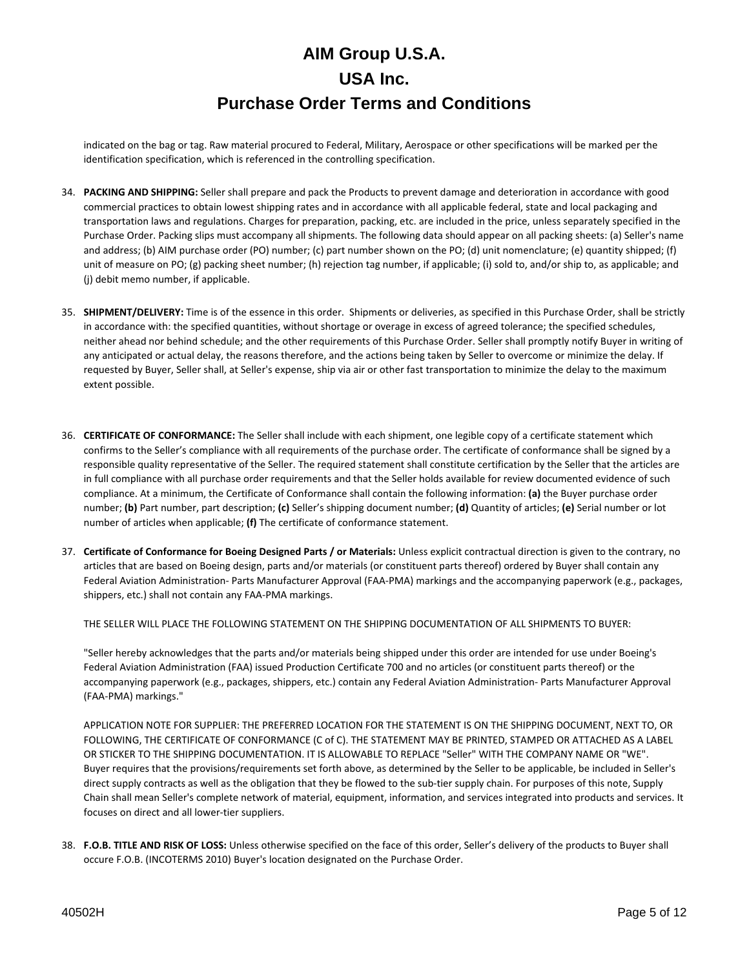indicated on the bag or tag. Raw material procured to Federal, Military, Aerospace or other specifications will be marked per the identification specification, which is referenced in the controlling specification.

- 34. **PACKING AND SHIPPING:** Seller shall prepare and pack the Products to prevent damage and deterioration in accordance with good commercial practices to obtain lowest shipping rates and in accordance with all applicable federal, state and local packaging and transportation laws and regulations. Charges for preparation, packing, etc. are included in the price, unless separately specified in the Purchase Order. Packing slips must accompany all shipments. The following data should appear on all packing sheets: (a) Seller's name and address; (b) AIM purchase order (PO) number; (c) part number shown on the PO; (d) unit nomenclature; (e) quantity shipped; (f) unit of measure on PO; (g) packing sheet number; (h) rejection tag number, if applicable; (i) sold to, and/or ship to, as applicable; and (j) debit memo number, if applicable.
- 35. **SHIPMENT/DELIVERY:** Time is of the essence in this order. Shipments or deliveries, as specified in this Purchase Order, shall be strictly in accordance with: the specified quantities, without shortage or overage in excess of agreed tolerance; the specified schedules, neither ahead nor behind schedule; and the other requirements of this Purchase Order. Seller shall promptly notify Buyer in writing of any anticipated or actual delay, the reasons therefore, and the actions being taken by Seller to overcome or minimize the delay. If requested by Buyer, Seller shall, at Seller's expense, ship via air or other fast transportation to minimize the delay to the maximum extent possible.
- 36. **CERTIFICATE OF CONFORMANCE:** The Seller shall include with each shipment, one legible copy of a certificate statement which confirms to the Seller's compliance with all requirements of the purchase order. The certificate of conformance shall be signed by a responsible quality representative of the Seller. The required statement shall constitute certification by the Seller that the articles are in full compliance with all purchase order requirements and that the Seller holds available for review documented evidence of such compliance. At a minimum, the Certificate of Conformance shall contain the following information: **(a)** the Buyer purchase order number; **(b)** Part number, part description; **(c)** Seller's shipping document number; **(d)** Quantity of articles; **(e)** Serial number or lot number of articles when applicable; **(f)** The certificate of conformance statement.
- 37. **Certificate of Conformance for Boeing Designed Parts / or Materials:** Unless explicit contractual direction is given to the contrary, no articles that are based on Boeing design, parts and/or materials (or constituent parts thereof) ordered by Buyer shall contain any Federal Aviation Administration- Parts Manufacturer Approval (FAA-PMA) markings and the accompanying paperwork (e.g., packages, shippers, etc.) shall not contain any FAA-PMA markings.

THE SELLER WILL PLACE THE FOLLOWING STATEMENT ON THE SHIPPING DOCUMENTATION OF ALL SHIPMENTS TO BUYER:

"Seller hereby acknowledges that the parts and/or materials being shipped under this order are intended for use under Boeing's Federal Aviation Administration (FAA) issued Production Certificate 700 and no articles (or constituent parts thereof) or the accompanying paperwork (e.g., packages, shippers, etc.) contain any Federal Aviation Administration- Parts Manufacturer Approval (FAA-PMA) markings."

APPLICATION NOTE FOR SUPPLIER: THE PREFERRED LOCATION FOR THE STATEMENT IS ON THE SHIPPING DOCUMENT, NEXT TO, OR FOLLOWING, THE CERTIFICATE OF CONFORMANCE (C of C). THE STATEMENT MAY BE PRINTED, STAMPED OR ATTACHED AS A LABEL OR STICKER TO THE SHIPPING DOCUMENTATION. IT IS ALLOWABLE TO REPLACE "Seller" WITH THE COMPANY NAME OR "WE". Buyer requires that the provisions/requirements set forth above, as determined by the Seller to be applicable, be included in Seller's direct supply contracts as well as the obligation that they be flowed to the sub-tier supply chain. For purposes of this note, Supply Chain shall mean Seller's complete network of material, equipment, information, and services integrated into products and services. It focuses on direct and all lower-tier suppliers.

38. **F.O.B. TITLE AND RISK OF LOSS:** Unless otherwise specified on the face of this order, Seller's delivery of the products to Buyer shall occure F.O.B. (INCOTERMS 2010) Buyer's location designated on the Purchase Order.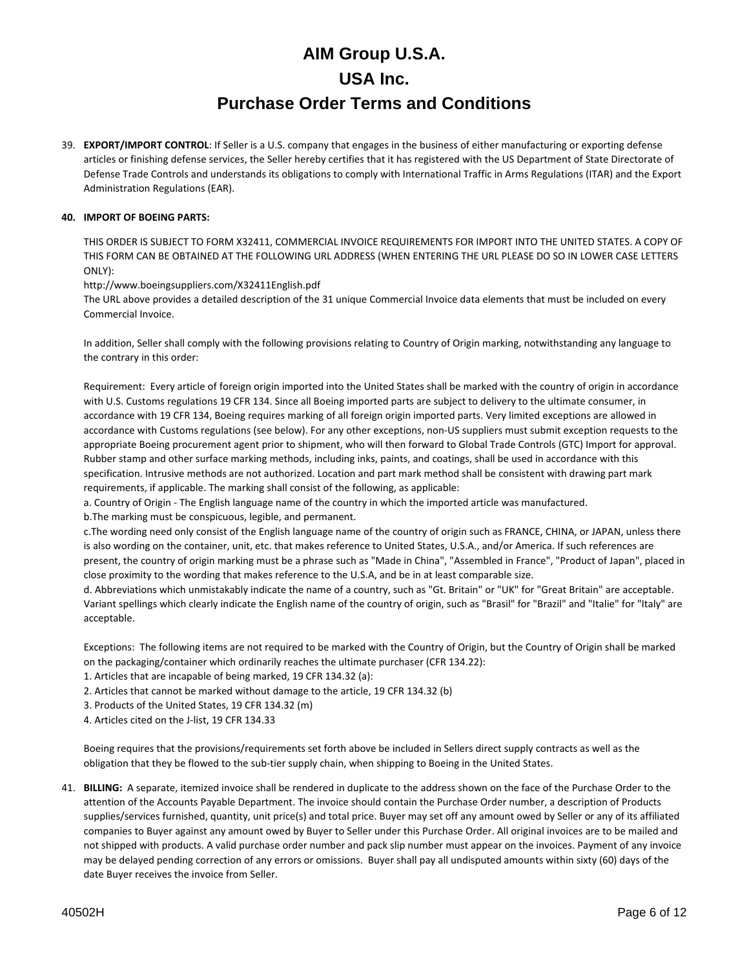39. **EXPORT/IMPORT CONTROL**: If Seller is a U.S. company that engages in the business of either manufacturing or exporting defense articles or finishing defense services, the Seller hereby certifies that it has registered with the US Department of State Directorate of Defense Trade Controls and understands its obligations to comply with International Traffic in Arms Regulations (ITAR) and the Export Administration Regulations (EAR).

### **40. IMPORT OF BOEING PARTS:**

THIS ORDER IS SUBJECT TO FORM X32411, COMMERCIAL INVOICE REQUIREMENTS FOR IMPORT INTO THE UNITED STATES. A COPY OF THIS FORM CAN BE OBTAINED AT THE FOLLOWING URL ADDRESS (WHEN ENTERING THE URL PLEASE DO SO IN LOWER CASE LETTERS ONLY):

http://www.boeingsuppliers.com/X32411English.pdf

The URL above provides a detailed description of the 31 unique Commercial Invoice data elements that must be included on every Commercial Invoice.

In addition, Seller shall comply with the following provisions relating to Country of Origin marking, notwithstanding any language to the contrary in this order:

Requirement: Every article of foreign origin imported into the United States shall be marked with the country of origin in accordance with U.S. Customs regulations 19 CFR 134. Since all Boeing imported parts are subject to delivery to the ultimate consumer, in accordance with 19 CFR 134, Boeing requires marking of all foreign origin imported parts. Very limited exceptions are allowed in accordance with Customs regulations (see below). For any other exceptions, non-US suppliers must submit exception requests to the appropriate Boeing procurement agent prior to shipment, who will then forward to Global Trade Controls (GTC) Import for approval. Rubber stamp and other surface marking methods, including inks, paints, and coatings, shall be used in accordance with this specification. Intrusive methods are not authorized. Location and part mark method shall be consistent with drawing part mark requirements, if applicable. The marking shall consist of the following, as applicable:

a. Country of Origin - The English language name of the country in which the imported article was manufactured.

b.The marking must be conspicuous, legible, and permanent.

c.The wording need only consist of the English language name of the country of origin such as FRANCE, CHINA, or JAPAN, unless there is also wording on the container, unit, etc. that makes reference to United States, U.S.A., and/or America. If such references are present, the country of origin marking must be a phrase such as "Made in China", "Assembled in France", "Product of Japan", placed in close proximity to the wording that makes reference to the U.S.A, and be in at least comparable size.

d. Abbreviations which unmistakably indicate the name of a country, such as "Gt. Britain" or "UK" for "Great Britain" are acceptable. Variant spellings which clearly indicate the English name of the country of origin, such as "Brasil" for "Brazil" and "Italie" for "Italy" are acceptable.

Exceptions: The following items are not required to be marked with the Country of Origin, but the Country of Origin shall be marked on the packaging/container which ordinarily reaches the ultimate purchaser (CFR 134.22):

1. Articles that are incapable of being marked, 19 CFR 134.32 (a):

- 2. Articles that cannot be marked without damage to the article, 19 CFR 134.32 (b)
- 3. Products of the United States, 19 CFR 134.32 (m)

4. Articles cited on the J-list, 19 CFR 134.33

Boeing requires that the provisions/requirements set forth above be included in Sellers direct supply contracts as well as the obligation that they be flowed to the sub-tier supply chain, when shipping to Boeing in the United States.

41. **BILLING:** A separate, itemized invoice shall be rendered in duplicate to the address shown on the face of the Purchase Order to the attention of the Accounts Payable Department. The invoice should contain the Purchase Order number, a description of Products supplies/services furnished, quantity, unit price(s) and total price. Buyer may set off any amount owed by Seller or any of its affiliated companies to Buyer against any amount owed by Buyer to Seller under this Purchase Order. All original invoices are to be mailed and not shipped with products. A valid purchase order number and pack slip number must appear on the invoices. Payment of any invoice may be delayed pending correction of any errors or omissions. Buyer shall pay all undisputed amounts within sixty (60) days of the date Buyer receives the invoice from Seller.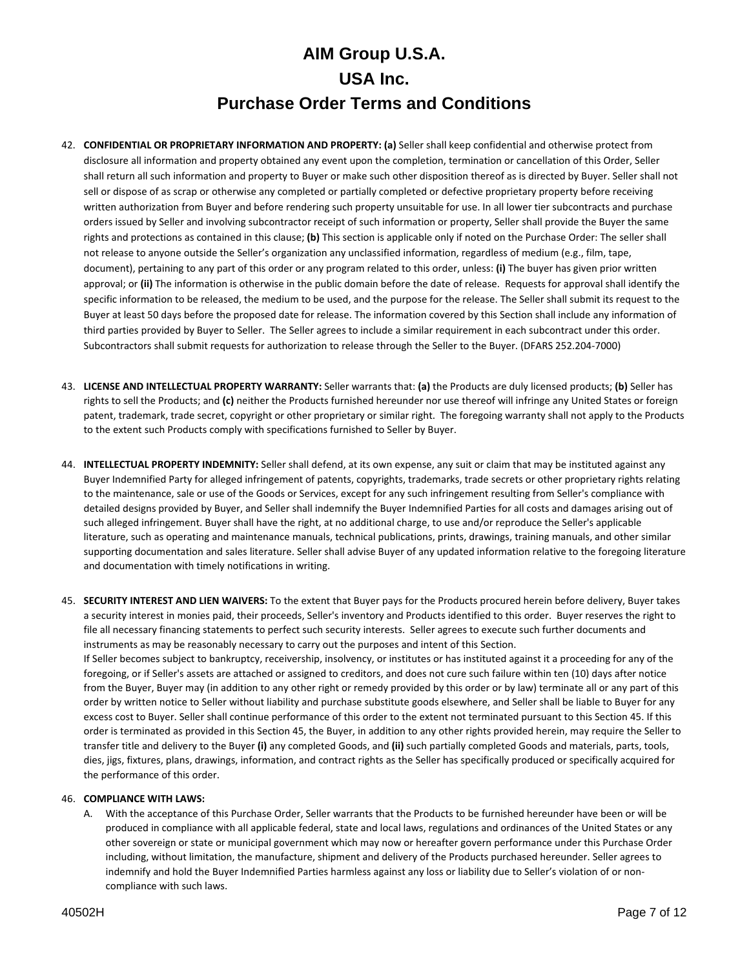- 42. **CONFIDENTIAL OR PROPRIETARY INFORMATION AND PROPERTY: (a)** Seller shall keep confidential and otherwise protect from disclosure all information and property obtained any event upon the completion, termination or cancellation of this Order, Seller shall return all such information and property to Buyer or make such other disposition thereof as is directed by Buyer. Seller shall not sell or dispose of as scrap or otherwise any completed or partially completed or defective proprietary property before receiving written authorization from Buyer and before rendering such property unsuitable for use. In all lower tier subcontracts and purchase orders issued by Seller and involving subcontractor receipt of such information or property, Seller shall provide the Buyer the same rights and protections as contained in this clause; **(b)** This section is applicable only if noted on the Purchase Order: The seller shall not release to anyone outside the Seller's organization any unclassified information, regardless of medium (e.g., film, tape, document), pertaining to any part of this order or any program related to this order, unless: **(i)** The buyer has given prior written approval; or **(ii)** The information is otherwise in the public domain before the date of release. Requests for approval shall identify the specific information to be released, the medium to be used, and the purpose for the release. The Seller shall submit its request to the Buyer at least 50 days before the proposed date for release. The information covered by this Section shall include any information of third parties provided by Buyer to Seller. The Seller agrees to include a similar requirement in each subcontract under this order. Subcontractors shall submit requests for authorization to release through the Seller to the Buyer. (DFARS 252.204-7000)
- 43. **LICENSE AND INTELLECTUAL PROPERTY WARRANTY:** Seller warrants that: **(a)** the Products are duly licensed products; **(b)** Seller has rights to sell the Products; and **(c)** neither the Products furnished hereunder nor use thereof will infringe any United States or foreign patent, trademark, trade secret, copyright or other proprietary or similar right. The foregoing warranty shall not apply to the Products to the extent such Products comply with specifications furnished to Seller by Buyer.
- 44. **INTELLECTUAL PROPERTY INDEMNITY:** Seller shall defend, at its own expense, any suit or claim that may be instituted against any Buyer Indemnified Party for alleged infringement of patents, copyrights, trademarks, trade secrets or other proprietary rights relating to the maintenance, sale or use of the Goods or Services, except for any such infringement resulting from Seller's compliance with detailed designs provided by Buyer, and Seller shall indemnify the Buyer Indemnified Parties for all costs and damages arising out of such alleged infringement. Buyer shall have the right, at no additional charge, to use and/or reproduce the Seller's applicable literature, such as operating and maintenance manuals, technical publications, prints, drawings, training manuals, and other similar supporting documentation and sales literature. Seller shall advise Buyer of any updated information relative to the foregoing literature and documentation with timely notifications in writing.
- 45. **SECURITY INTEREST AND LIEN WAIVERS:** To the extent that Buyer pays for the Products procured herein before delivery, Buyer takes a security interest in monies paid, their proceeds, Seller's inventory and Products identified to this order. Buyer reserves the right to file all necessary financing statements to perfect such security interests. Seller agrees to execute such further documents and instruments as may be reasonably necessary to carry out the purposes and intent of this Section. If Seller becomes subject to bankruptcy, receivership, insolvency, or institutes or has instituted against it a proceeding for any of the foregoing, or if Seller's assets are attached or assigned to creditors, and does not cure such failure within ten (10) days after notice from the Buyer, Buyer may (in addition to any other right or remedy provided by this order or by law) terminate all or any part of this order by written notice to Seller without liability and purchase substitute goods elsewhere, and Seller shall be liable to Buyer for any excess cost to Buyer. Seller shall continue performance of this order to the extent not terminated pursuant to this Section 45. If this order is terminated as provided in this Section 45, the Buyer, in addition to any other rights provided herein, may require the Seller to transfer title and delivery to the Buyer **(i)** any completed Goods, and **(ii)** such partially completed Goods and materials, parts, tools, dies, jigs, fixtures, plans, drawings, information, and contract rights as the Seller has specifically produced or specifically acquired for the performance of this order.

### 46. **COMPLIANCE WITH LAWS:**

A. With the acceptance of this Purchase Order, Seller warrants that the Products to be furnished hereunder have been or will be produced in compliance with all applicable federal, state and local laws, regulations and ordinances of the United States or any other sovereign or state or municipal government which may now or hereafter govern performance under this Purchase Order including, without limitation, the manufacture, shipment and delivery of the Products purchased hereunder. Seller agrees to indemnify and hold the Buyer Indemnified Parties harmless against any loss or liability due to Seller's violation of or noncompliance with such laws.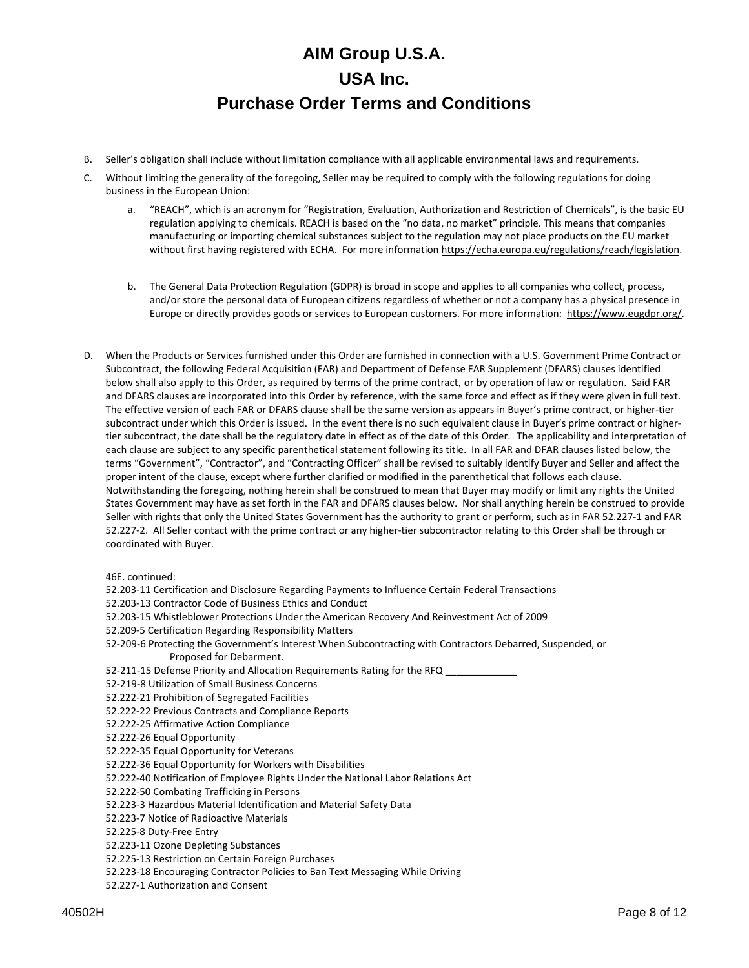- B. Seller's obligation shall include without limitation compliance with all applicable environmental laws and requirements.
- C. Without limiting the generality of the foregoing, Seller may be required to comply with the following regulations for doing business in the European Union:
	- a. "REACH", which is an acronym for "Registration, Evaluation, Authorization and Restriction of Chemicals", is the basic EU regulation applying to chemicals. REACH is based on the "no data, no market" principle. This means that companies manufacturing or importing chemical substances subject to the regulation may not place products on the EU market without first having registered with ECHA. For more information [https://echa.europa.eu/regulations/reach/legislation.](https://echa.europa.eu/regulations/reach/legislation)
	- b. The General Data Protection Regulation (GDPR) is broad in scope and applies to all companies who collect, process, and/or store the personal data of European citizens regardless of whether or not a company has a physical presence in Europe or directly provides goods or services to European customers. For more information: [https://www.eugdpr.org/.](https://www.eugdpr.org/)
- D. When the Products or Services furnished under this Order are furnished in connection with a U.S. Government Prime Contract or Subcontract, the following Federal Acquisition (FAR) and Department of Defense FAR Supplement (DFARS) clauses identified below shall also apply to this Order, as required by terms of the prime contract, or by operation of law or regulation. Said FAR and DFARS clauses are incorporated into this Order by reference, with the same force and effect as if they were given in full text. The effective version of each FAR or DFARS clause shall be the same version as appears in Buyer's prime contract, or higher-tier subcontract under which this Order is issued. In the event there is no such equivalent clause in Buyer's prime contract or highertier subcontract, the date shall be the regulatory date in effect as of the date of this Order. The applicability and interpretation of each clause are subject to any specific parenthetical statement following its title. In all FAR and DFAR clauses listed below, the terms "Government", "Contractor", and "Contracting Officer" shall be revised to suitably identify Buyer and Seller and affect the proper intent of the clause, except where further clarified or modified in the parenthetical that follows each clause. Notwithstanding the foregoing, nothing herein shall be construed to mean that Buyer may modify or limit any rights the United States Government may have as set forth in the FAR and DFARS clauses below. Nor shall anything herein be construed to provide Seller with rights that only the United States Government has the authority to grant or perform, such as in FAR 52.227-1 and FAR 52.227-2. All Seller contact with the prime contract or any higher-tier subcontractor relating to this Order shall be through or coordinated with Buyer.

46E. continued:

- 52.203-11 Certification and Disclosure Regarding Payments to Influence Certain Federal Transactions
- 52.203-13 Contractor Code of Business Ethics and Conduct
- 52.203-15 Whistleblower Protections Under the American Recovery And Reinvestment Act of 2009
- 52.209-5 Certification Regarding Responsibility Matters
- 52-209-6 Protecting the Government's Interest When Subcontracting with Contractors Debarred, Suspended, or Proposed for Debarment.
- 52-211-15 Defense Priority and Allocation Requirements Rating for the RFQ
- 52-219-8 Utilization of Small Business Concerns
- 52.222-21 Prohibition of Segregated Facilities
- 52.222-22 Previous Contracts and Compliance Reports
- 52.222-25 Affirmative Action Compliance
- 52.222-26 Equal Opportunity
- 52.222-35 Equal Opportunity for Veterans
- 52.222-36 Equal Opportunity for Workers with Disabilities
- 52.222-40 Notification of Employee Rights Under the National Labor Relations Act
- 52.222-50 Combating Trafficking in Persons
- 52.223-3 Hazardous Material Identification and Material Safety Data
- 52.223-7 Notice of Radioactive Materials
- 52.225-8 Duty-Free Entry
- 52.223-11 Ozone Depleting Substances
- 52.225-13 Restriction on Certain Foreign Purchases
- 52.223-18 Encouraging Contractor Policies to Ban Text Messaging While Driving
- 52.227-1 Authorization and Consent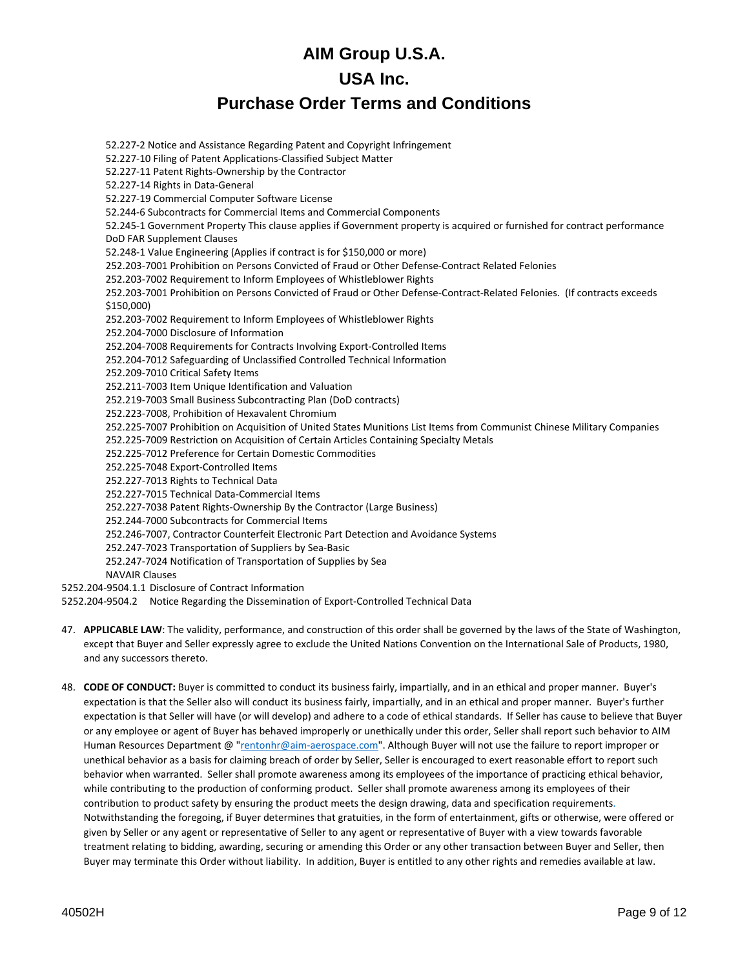52.227-2 Notice and Assistance Regarding Patent and Copyright Infringement 52.227-10 Filing of Patent Applications-Classified Subject Matter 52.227-11 Patent Rights-Ownership by the Contractor 52.227-14 Rights in Data-General 52.227-19 Commercial Computer Software License 52.244-6 Subcontracts for Commercial Items and Commercial Components 52.245-1 Government Property This clause applies if Government property is acquired or furnished for contract performance DoD FAR Supplement Clauses 52.248-1 Value Engineering (Applies if contract is for \$150,000 or more) 252.203-7001 Prohibition on Persons Convicted of Fraud or Other Defense-Contract Related Felonies 252.203-7002 Requirement to Inform Employees of Whistleblower Rights 252.203-7001 Prohibition on Persons Convicted of Fraud or Other Defense-Contract-Related Felonies. (If contracts exceeds \$150,000) 252.203-7002 Requirement to Inform Employees of Whistleblower Rights 252.204-7000 Disclosure of Information 252.204-7008 Requirements for Contracts Involving Export-Controlled Items 252.204-7012 Safeguarding of Unclassified Controlled Technical Information 252.209-7010 Critical Safety Items 252.211-7003 Item Unique Identification and Valuation 252.219-7003 Small Business Subcontracting Plan (DoD contracts) 252.223-7008, Prohibition of Hexavalent Chromium 252.225-7007 Prohibition on Acquisition of United States Munitions List Items from Communist Chinese Military Companies 252.225-7009 Restriction on Acquisition of Certain Articles Containing Specialty Metals 252.225-7012 Preference for Certain Domestic Commodities 252.225-7048 Export-Controlled Items 252.227-7013 Rights to Technical Data 252.227-7015 Technical Data-Commercial Items 252.227-7038 Patent Rights-Ownership By the Contractor (Large Business) 252.244-7000 Subcontracts for Commercial Items 252.246-7007, Contractor Counterfeit Electronic Part Detection and Avoidance Systems 252.247-7023 Transportation of Suppliers by Sea-Basic 252.247-7024 Notification of Transportation of Supplies by Sea NAVAIR Clauses 5252.204-9504.1.1 Disclosure of Contract Information

- 5252.204-9504.2 Notice Regarding the Dissemination of Export-Controlled Technical Data
- 47. **APPLICABLE LAW**: The validity, performance, and construction of this order shall be governed by the laws of the State of Washington, except that Buyer and Seller expressly agree to exclude the United Nations Convention on the International Sale of Products, 1980, and any successors thereto.
- 48. **CODE OF CONDUCT:** Buyer is committed to conduct its business fairly, impartially, and in an ethical and proper manner. Buyer's expectation is that the Seller also will conduct its business fairly, impartially, and in an ethical and proper manner. Buyer's further expectation is that Seller will have (or will develop) and adhere to a code of ethical standards. If Seller has cause to believe that Buyer or any employee or agent of Buyer has behaved improperly or unethically under this order, Seller shall report such behavior to AIM Human Resources Department @ ["rentonhr@aim-aerospace.com"](mailto:rentonhr@aim-aerospace.com). Although Buyer will not use the failure to report improper or unethical behavior as a basis for claiming breach of order by Seller, Seller is encouraged to exert reasonable effort to report such behavior when warranted. Seller shall promote awareness among its employees of the importance of practicing ethical behavior, while contributing to the production of conforming product. Seller shall promote awareness among its employees of their contribution to product safety by ensuring the product meets the design drawing, data and specification requirements. Notwithstanding the foregoing, if Buyer determines that gratuities, in the form of entertainment, gifts or otherwise, were offered or given by Seller or any agent or representative of Seller to any agent or representative of Buyer with a view towards favorable treatment relating to bidding, awarding, securing or amending this Order or any other transaction between Buyer and Seller, then Buyer may terminate this Order without liability. In addition, Buyer is entitled to any other rights and remedies available at law.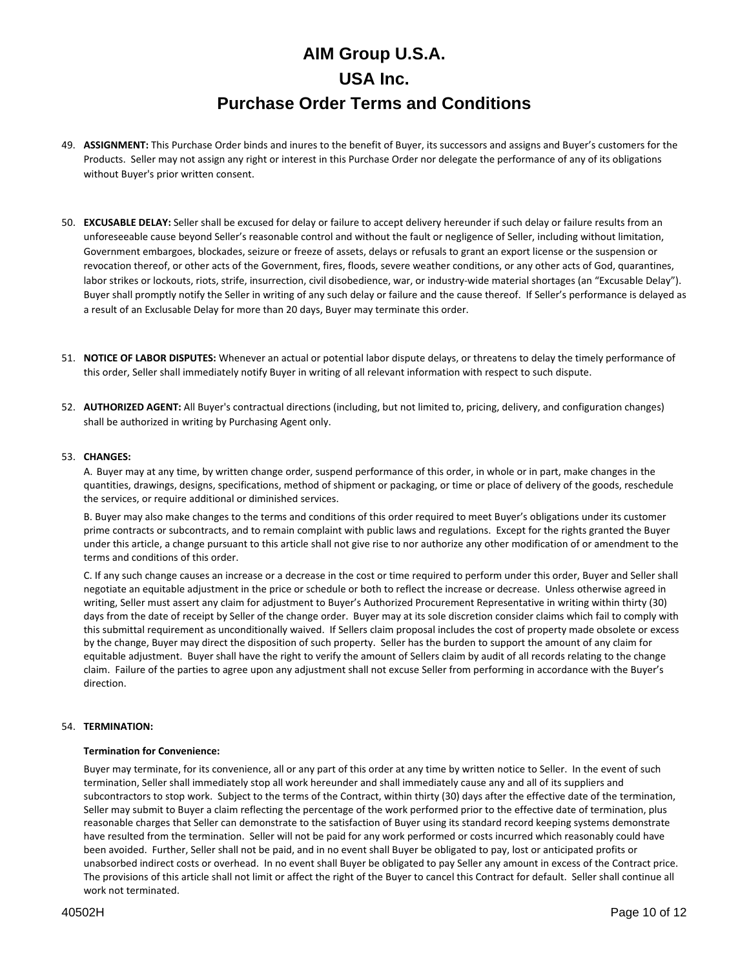- 49. **ASSIGNMENT:** This Purchase Order binds and inures to the benefit of Buyer, its successors and assigns and Buyer's customers for the Products. Seller may not assign any right or interest in this Purchase Order nor delegate the performance of any of its obligations without Buyer's prior written consent.
- 50. **EXCUSABLE DELAY:** Seller shall be excused for delay or failure to accept delivery hereunder if such delay or failure results from an unforeseeable cause beyond Seller's reasonable control and without the fault or negligence of Seller, including without limitation, Government embargoes, blockades, seizure or freeze of assets, delays or refusals to grant an export license or the suspension or revocation thereof, or other acts of the Government, fires, floods, severe weather conditions, or any other acts of God, quarantines, labor strikes or lockouts, riots, strife, insurrection, civil disobedience, war, or industry-wide material shortages (an "Excusable Delay"). Buyer shall promptly notify the Seller in writing of any such delay or failure and the cause thereof. If Seller's performance is delayed as a result of an Exclusable Delay for more than 20 days, Buyer may terminate this order.
- 51. **NOTICE OF LABOR DISPUTES:** Whenever an actual or potential labor dispute delays, or threatens to delay the timely performance of this order, Seller shall immediately notify Buyer in writing of all relevant information with respect to such dispute.
- 52. **AUTHORIZED AGENT:** All Buyer's contractual directions (including, but not limited to, pricing, delivery, and configuration changes) shall be authorized in writing by Purchasing Agent only.

### 53. **CHANGES:**

A. Buyer may at any time, by written change order, suspend performance of this order, in whole or in part, make changes in the quantities, drawings, designs, specifications, method of shipment or packaging, or time or place of delivery of the goods, reschedule the services, or require additional or diminished services.

B. Buyer may also make changes to the terms and conditions of this order required to meet Buyer's obligations under its customer prime contracts or subcontracts, and to remain complaint with public laws and regulations. Except for the rights granted the Buyer under this article, a change pursuant to this article shall not give rise to nor authorize any other modification of or amendment to the terms and conditions of this order.

C. If any such change causes an increase or a decrease in the cost or time required to perform under this order, Buyer and Seller shall negotiate an equitable adjustment in the price or schedule or both to reflect the increase or decrease. Unless otherwise agreed in writing, Seller must assert any claim for adjustment to Buyer's Authorized Procurement Representative in writing within thirty (30) days from the date of receipt by Seller of the change order. Buyer may at its sole discretion consider claims which fail to comply with this submittal requirement as unconditionally waived. If Sellers claim proposal includes the cost of property made obsolete or excess by the change, Buyer may direct the disposition of such property. Seller has the burden to support the amount of any claim for equitable adjustment. Buyer shall have the right to verify the amount of Sellers claim by audit of all records relating to the change claim. Failure of the parties to agree upon any adjustment shall not excuse Seller from performing in accordance with the Buyer's direction.

### 54. **TERMINATION:**

### **Termination for Convenience:**

Buyer may terminate, for its convenience, all or any part of this order at any time by written notice to Seller. In the event of such termination, Seller shall immediately stop all work hereunder and shall immediately cause any and all of its suppliers and subcontractors to stop work. Subject to the terms of the Contract, within thirty (30) days after the effective date of the termination, Seller may submit to Buyer a claim reflecting the percentage of the work performed prior to the effective date of termination, plus reasonable charges that Seller can demonstrate to the satisfaction of Buyer using its standard record keeping systems demonstrate have resulted from the termination. Seller will not be paid for any work performed or costs incurred which reasonably could have been avoided. Further, Seller shall not be paid, and in no event shall Buyer be obligated to pay, lost or anticipated profits or unabsorbed indirect costs or overhead. In no event shall Buyer be obligated to pay Seller any amount in excess of the Contract price. The provisions of this article shall not limit or affect the right of the Buyer to cancel this Contract for default. Seller shall continue all work not terminated.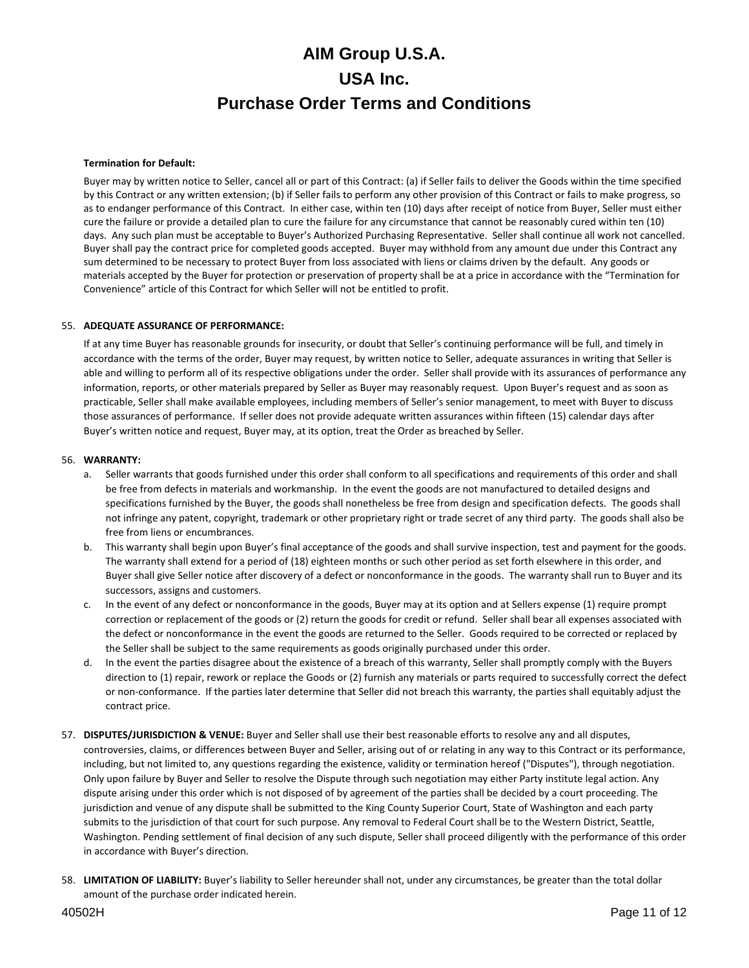### **Termination for Default:**

Buyer may by written notice to Seller, cancel all or part of this Contract: (a) if Seller fails to deliver the Goods within the time specified by this Contract or any written extension; (b) if Seller fails to perform any other provision of this Contract or fails to make progress, so as to endanger performance of this Contract. In either case, within ten (10) days after receipt of notice from Buyer, Seller must either cure the failure or provide a detailed plan to cure the failure for any circumstance that cannot be reasonably cured within ten (10) days. Any such plan must be acceptable to Buyer's Authorized Purchasing Representative. Seller shall continue all work not cancelled. Buyer shall pay the contract price for completed goods accepted. Buyer may withhold from any amount due under this Contract any sum determined to be necessary to protect Buyer from loss associated with liens or claims driven by the default. Any goods or materials accepted by the Buyer for protection or preservation of property shall be at a price in accordance with the "Termination for Convenience" article of this Contract for which Seller will not be entitled to profit.

### 55. **ADEQUATE ASSURANCE OF PERFORMANCE:**

If at any time Buyer has reasonable grounds for insecurity, or doubt that Seller's continuing performance will be full, and timely in accordance with the terms of the order, Buyer may request, by written notice to Seller, adequate assurances in writing that Seller is able and willing to perform all of its respective obligations under the order. Seller shall provide with its assurances of performance any information, reports, or other materials prepared by Seller as Buyer may reasonably request. Upon Buyer's request and as soon as practicable, Seller shall make available employees, including members of Seller's senior management, to meet with Buyer to discuss those assurances of performance. If seller does not provide adequate written assurances within fifteen (15) calendar days after Buyer's written notice and request, Buyer may, at its option, treat the Order as breached by Seller.

#### 56. **WARRANTY:**

- a. Seller warrants that goods furnished under this order shall conform to all specifications and requirements of this order and shall be free from defects in materials and workmanship. In the event the goods are not manufactured to detailed designs and specifications furnished by the Buyer, the goods shall nonetheless be free from design and specification defects. The goods shall not infringe any patent, copyright, trademark or other proprietary right or trade secret of any third party. The goods shall also be free from liens or encumbrances.
- b. This warranty shall begin upon Buyer's final acceptance of the goods and shall survive inspection, test and payment for the goods. The warranty shall extend for a period of (18) eighteen months or such other period as set forth elsewhere in this order, and Buyer shall give Seller notice after discovery of a defect or nonconformance in the goods. The warranty shall run to Buyer and its successors, assigns and customers.
- c. In the event of any defect or nonconformance in the goods, Buyer may at its option and at Sellers expense (1) require prompt correction or replacement of the goods or (2) return the goods for credit or refund. Seller shall bear all expenses associated with the defect or nonconformance in the event the goods are returned to the Seller. Goods required to be corrected or replaced by the Seller shall be subject to the same requirements as goods originally purchased under this order.
- d. In the event the parties disagree about the existence of a breach of this warranty, Seller shall promptly comply with the Buyers direction to (1) repair, rework or replace the Goods or (2) furnish any materials or parts required to successfully correct the defect or non-conformance. If the parties later determine that Seller did not breach this warranty, the parties shall equitably adjust the contract price.
- 57. **DISPUTES/JURISDICTION & VENUE:** Buyer and Seller shall use their best reasonable efforts to resolve any and all disputes, controversies, claims, or differences between Buyer and Seller, arising out of or relating in any way to this Contract or its performance, including, but not limited to, any questions regarding the existence, validity or termination hereof ("Disputes"), through negotiation. Only upon failure by Buyer and Seller to resolve the Dispute through such negotiation may either Party institute legal action. Any dispute arising under this order which is not disposed of by agreement of the parties shall be decided by a court proceeding. The jurisdiction and venue of any dispute shall be submitted to the King County Superior Court, State of Washington and each party submits to the jurisdiction of that court for such purpose. Any removal to Federal Court shall be to the Western District, Seattle, Washington. Pending settlement of final decision of any such dispute, Seller shall proceed diligently with the performance of this order in accordance with Buyer's direction.
- 58. **LIMITATION OF LIABILITY:** Buyer's liability to Seller hereunder shall not, under any circumstances, be greater than the total dollar amount of the purchase order indicated herein.